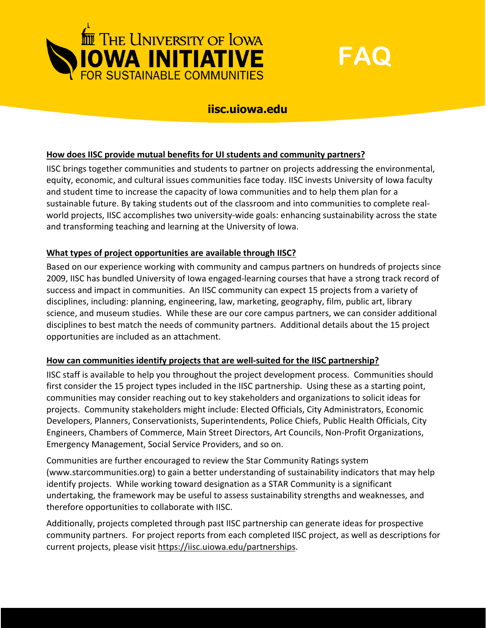



# **iisc.uiowa.edu**

# **How does IISC provide mutual benefits for UI students and community partners?**

IISC brings together communities and students to partner on projects addressing the environmental, equity, economic, and cultural issues communities face today. IISC invests University of Iowa faculty and student time to increase the capacity of Iowa communities and to help them plan for a sustainable future. By taking students out of the classroom and into communities to complete realworld projects, IISC accomplishes two university-wide goals: enhancing sustainability across the state and transforming teaching and learning at the University of Iowa.

#### **What types of project opportunities are available through IISC?**

Based on our experience working with community and campus partners on hundreds of projects since 2009, IISC has bundled University of Iowa engaged-learning courses that have a strong track record of success and impact in communities. An IISC community can expect 15 projects from a variety of disciplines, including: planning, engineering, law, marketing, geography, film, public art, library science, and museum studies. While these are our core campus partners, we can consider additional disciplines to best match the needs of community partners. Additional details about the 15 project opportunities are included as an attachment.

#### **How can communities identify projects that are well-suited for the IISC partnership?**

IISC staff is available to help you throughout the project development process. Communities should first consider the 15 project types included in the IISC partnership. Using these as a starting point, communities may consider reaching out to key stakeholders and organizations to solicit ideas for projects. Community stakeholders might include: Elected Officials, City Administrators, Economic Developers, Planners, Conservationists, Superintendents, Police Chiefs, Public Health Officials, City Engineers, Chambers of Commerce, Main Street Directors, Art Councils, Non-Profit Organizations, Emergency Management, Social Service Providers, and so on.

Communities are further encouraged to review the Star Community Ratings system (www.starcommunities.org) to gain a better understanding of sustainability indicators that may help identify projects. While working toward designation as a STAR Community is a significant undertaking, the framework may be useful to assess sustainability strengths and weaknesses, and therefore opportunities to collaborate with IISC.

Additionally, projects completed through past IISC partnership can generate ideas for prospective community partners. For project reports from each completed IISC project, as well as descriptions for current projects, please visit [https://iisc.uiowa.edu/partnerships.](https://iisc.uiowa.edu/partnerships)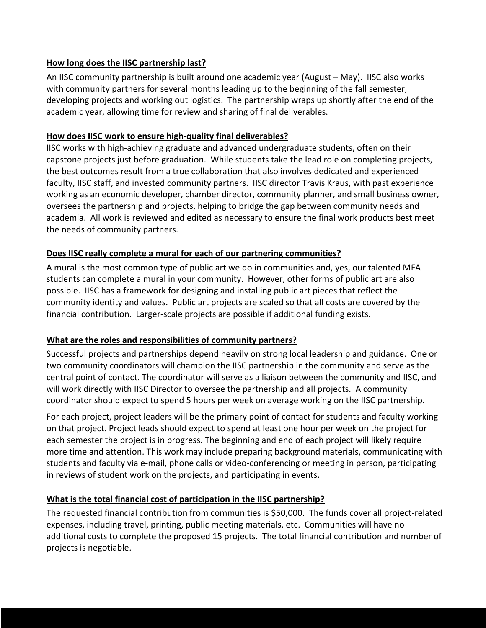# **How long does the IISC partnership last?**

An IISC community partnership is built around one academic year (August – May). IISC also works with community partners for several months leading up to the beginning of the fall semester, developing projects and working out logistics. The partnership wraps up shortly after the end of the academic year, allowing time for review and sharing of final deliverables.

#### **How does IISC work to ensure high-quality final deliverables?**

IISC works with high-achieving graduate and advanced undergraduate students, often on their capstone projects just before graduation. While students take the lead role on completing projects, the best outcomes result from a true collaboration that also involves dedicated and experienced faculty, IISC staff, and invested community partners. IISC director Travis Kraus, with past experience working as an economic developer, chamber director, community planner, and small business owner, oversees the partnership and projects, helping to bridge the gap between community needs and academia. All work is reviewed and edited as necessary to ensure the final work products best meet the needs of community partners.

# **Does IISC really complete a mural for each of our partnering communities?**

A mural is the most common type of public art we do in communities and, yes, our talented MFA students can complete a mural in your community. However, other forms of public art are also possible. IISC has a framework for designing and installing public art pieces that reflect the community identity and values. Public art projects are scaled so that all costs are covered by the financial contribution. Larger-scale projects are possible if additional funding exists.

# **What are the roles and responsibilities of community partners?**

Successful projects and partnerships depend heavily on strong local leadership and guidance. One or two community coordinators will champion the IISC partnership in the community and serve as the central point of contact. The coordinator will serve as a liaison between the community and IISC, and will work directly with IISC Director to oversee the partnership and all projects. A community coordinator should expect to spend 5 hours per week on average working on the IISC partnership.

For each project, project leaders will be the primary point of contact for students and faculty working on that project. Project leads should expect to spend at least one hour per week on the project for each semester the project is in progress. The beginning and end of each project will likely require more time and attention. This work may include preparing background materials, communicating with students and faculty via e-mail, phone calls or video-conferencing or meeting in person, participating in reviews of student work on the projects, and participating in events.

# **What is the total financial cost of participation in the IISC partnership?**

The requested financial contribution from communities is \$50,000. The funds cover all project-related expenses, including travel, printing, public meeting materials, etc. Communities will have no additional costs to complete the proposed 15 projects. The total financial contribution and number of projects is negotiable.